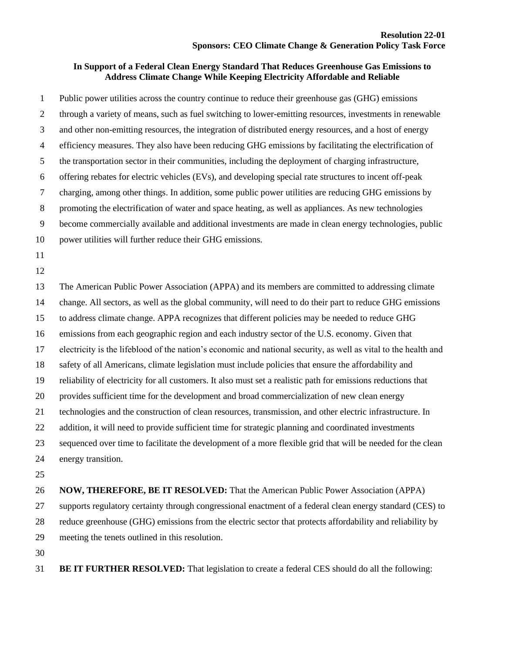## **In Support of a Federal Clean Energy Standard That Reduces Greenhouse Gas Emissions to Address Climate Change While Keeping Electricity Affordable and Reliable**

 Public power utilities across the country continue to reduce their greenhouse gas (GHG) emissions through a variety of means, such as fuel switching to lower-emitting resources, investments in renewable and other non-emitting resources, the integration of distributed energy resources, and a host of energy efficiency measures. They also have been reducing GHG emissions by facilitating the electrification of the transportation sector in their communities, including the deployment of charging infrastructure, offering rebates for electric vehicles (EVs), and developing special rate structures to incent off-peak charging, among other things. In addition, some public power utilities are reducing GHG emissions by promoting the electrification of water and space heating, as well as appliances. As new technologies become commercially available and additional investments are made in clean energy technologies, public power utilities will further reduce their GHG emissions. The American Public Power Association (APPA) and its members are committed to addressing climate change. All sectors, as well as the global community, will need to do their part to reduce GHG emissions to address climate change. APPA recognizes that different policies may be needed to reduce GHG emissions from each geographic region and each industry sector of the U.S. economy. Given that electricity is the lifeblood of the nation's economic and national security, as well as vital to the health and safety of all Americans, climate legislation must include policies that ensure the affordability and reliability of electricity for all customers. It also must set a realistic path for emissions reductions that provides sufficient time for the development and broad commercialization of new clean energy technologies and the construction of clean resources, transmission, and other electric infrastructure. In addition, it will need to provide sufficient time for strategic planning and coordinated investments sequenced over time to facilitate the development of a more flexible grid that will be needed for the clean energy transition.

 **NOW, THEREFORE, BE IT RESOLVED:** That the American Public Power Association (APPA) supports regulatory certainty through congressional enactment of a federal clean energy standard (CES) to reduce greenhouse (GHG) emissions from the electric sector that protects affordability and reliability by meeting the tenets outlined in this resolution.

**BE IT FURTHER RESOLVED:** That legislation to create a federal CES should do all the following: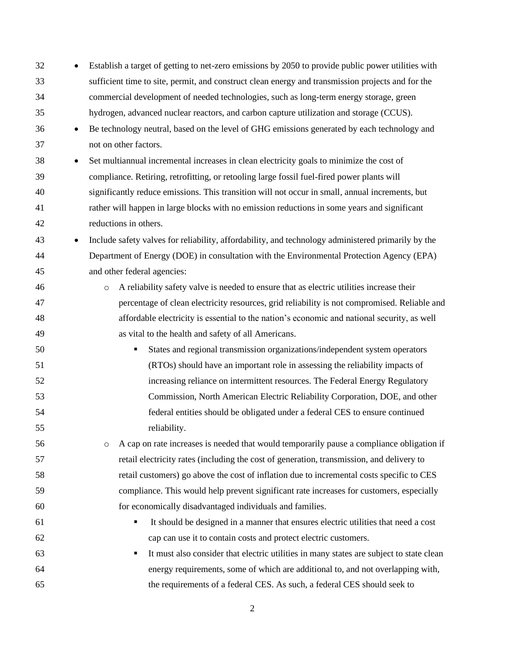| 32 |           | Establish a target of getting to net-zero emissions by 2050 to provide public power utilities with   |
|----|-----------|------------------------------------------------------------------------------------------------------|
| 33 |           | sufficient time to site, permit, and construct clean energy and transmission projects and for the    |
| 34 |           | commercial development of needed technologies, such as long-term energy storage, green               |
| 35 |           | hydrogen, advanced nuclear reactors, and carbon capture utilization and storage (CCUS).              |
| 36 | $\bullet$ | Be technology neutral, based on the level of GHG emissions generated by each technology and          |
| 37 |           | not on other factors.                                                                                |
| 38 | $\bullet$ | Set multiannual incremental increases in clean electricity goals to minimize the cost of             |
| 39 |           | compliance. Retiring, retrofitting, or retooling large fossil fuel-fired power plants will           |
| 40 |           | significantly reduce emissions. This transition will not occur in small, annual increments, but      |
| 41 |           | rather will happen in large blocks with no emission reductions in some years and significant         |
| 42 |           | reductions in others.                                                                                |
| 43 | $\bullet$ | Include safety valves for reliability, affordability, and technology administered primarily by the   |
| 44 |           | Department of Energy (DOE) in consultation with the Environmental Protection Agency (EPA)            |
| 45 |           | and other federal agencies:                                                                          |
| 46 |           | A reliability safety valve is needed to ensure that as electric utilities increase their<br>$\circ$  |
| 47 |           | percentage of clean electricity resources, grid reliability is not compromised. Reliable and         |
| 48 |           | affordable electricity is essential to the nation's economic and national security, as well          |
| 49 |           | as vital to the health and safety of all Americans.                                                  |
| 50 |           | States and regional transmission organizations/independent system operators<br>٠                     |
| 51 |           | (RTOs) should have an important role in assessing the reliability impacts of                         |
| 52 |           | increasing reliance on intermittent resources. The Federal Energy Regulatory                         |
| 53 |           | Commission, North American Electric Reliability Corporation, DOE, and other                          |
| 54 |           | federal entities should be obligated under a federal CES to ensure continued                         |
| 55 |           | reliability.                                                                                         |
| 56 |           | A cap on rate increases is needed that would temporarily pause a compliance obligation if<br>$\circ$ |
| 57 |           | retail electricity rates (including the cost of generation, transmission, and delivery to            |
| 58 |           | retail customers) go above the cost of inflation due to incremental costs specific to CES            |
| 59 |           | compliance. This would help prevent significant rate increases for customers, especially             |
| 60 |           | for economically disadvantaged individuals and families.                                             |
| 61 |           | It should be designed in a manner that ensures electric utilities that need a cost<br>٠              |
| 62 |           | cap can use it to contain costs and protect electric customers.                                      |
| 63 |           | It must also consider that electric utilities in many states are subject to state clean<br>٠         |
| 64 |           | energy requirements, some of which are additional to, and not overlapping with,                      |
| 65 |           | the requirements of a federal CES. As such, a federal CES should seek to                             |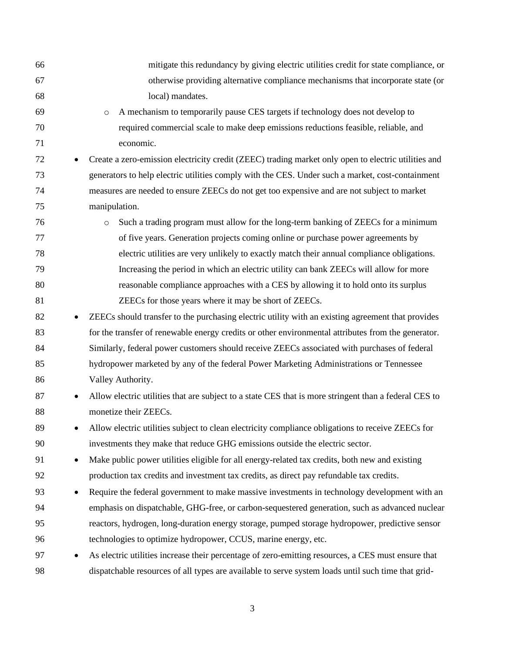| 66 |           | mitigate this redundancy by giving electric utilities credit for state compliance, or                 |
|----|-----------|-------------------------------------------------------------------------------------------------------|
| 67 |           | otherwise providing alternative compliance mechanisms that incorporate state (or                      |
| 68 |           | local) mandates.                                                                                      |
| 69 |           | A mechanism to temporarily pause CES targets if technology does not develop to<br>$\circ$             |
| 70 |           | required commercial scale to make deep emissions reductions feasible, reliable, and                   |
| 71 |           | economic.                                                                                             |
| 72 |           | Create a zero-emission electricity credit (ZEEC) trading market only open to electric utilities and   |
| 73 |           | generators to help electric utilities comply with the CES. Under such a market, cost-containment      |
| 74 |           | measures are needed to ensure ZEECs do not get too expensive and are not subject to market            |
| 75 |           | manipulation.                                                                                         |
| 76 |           | Such a trading program must allow for the long-term banking of ZEECs for a minimum<br>$\circ$         |
| 77 |           | of five years. Generation projects coming online or purchase power agreements by                      |
| 78 |           | electric utilities are very unlikely to exactly match their annual compliance obligations.            |
| 79 |           | Increasing the period in which an electric utility can bank ZEECs will allow for more                 |
| 80 |           | reasonable compliance approaches with a CES by allowing it to hold onto its surplus                   |
| 81 |           | ZEECs for those years where it may be short of ZEECs.                                                 |
| 82 | $\bullet$ | ZEECs should transfer to the purchasing electric utility with an existing agreement that provides     |
| 83 |           | for the transfer of renewable energy credits or other environmental attributes from the generator.    |
| 84 |           | Similarly, federal power customers should receive ZEECs associated with purchases of federal          |
| 85 |           | hydropower marketed by any of the federal Power Marketing Administrations or Tennessee                |
| 86 |           | Valley Authority.                                                                                     |
| 87 | $\bullet$ | Allow electric utilities that are subject to a state CES that is more stringent than a federal CES to |
| 88 |           | monetize their ZEECs.                                                                                 |
| 89 |           | Allow electric utilities subject to clean electricity compliance obligations to receive ZEECs for     |
| 90 |           | investments they make that reduce GHG emissions outside the electric sector.                          |
| 91 | $\bullet$ | Make public power utilities eligible for all energy-related tax credits, both new and existing        |
| 92 |           | production tax credits and investment tax credits, as direct pay refundable tax credits.              |
| 93 | $\bullet$ | Require the federal government to make massive investments in technology development with an          |
| 94 |           | emphasis on dispatchable, GHG-free, or carbon-sequestered generation, such as advanced nuclear        |
| 95 |           | reactors, hydrogen, long-duration energy storage, pumped storage hydropower, predictive sensor        |
| 96 |           | technologies to optimize hydropower, CCUS, marine energy, etc.                                        |
| 97 |           | As electric utilities increase their percentage of zero-emitting resources, a CES must ensure that    |
| 98 |           | dispatchable resources of all types are available to serve system loads until such time that grid-    |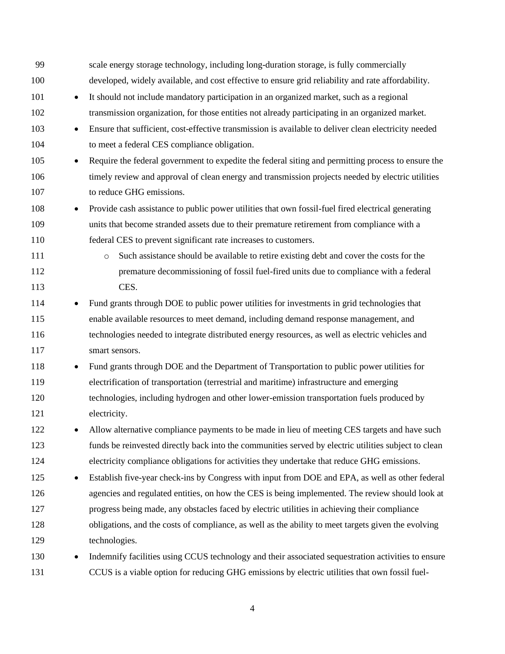| 99  |           | scale energy storage technology, including long-duration storage, is fully commercially              |
|-----|-----------|------------------------------------------------------------------------------------------------------|
| 100 |           | developed, widely available, and cost effective to ensure grid reliability and rate affordability.   |
| 101 | $\bullet$ | It should not include mandatory participation in an organized market, such as a regional             |
| 102 |           | transmission organization, for those entities not already participating in an organized market.      |
| 103 | $\bullet$ | Ensure that sufficient, cost-effective transmission is available to deliver clean electricity needed |
| 104 |           | to meet a federal CES compliance obligation.                                                         |
| 105 | $\bullet$ | Require the federal government to expedite the federal siting and permitting process to ensure the   |
| 106 |           | timely review and approval of clean energy and transmission projects needed by electric utilities    |
| 107 |           | to reduce GHG emissions.                                                                             |
| 108 | $\bullet$ | Provide cash assistance to public power utilities that own fossil-fuel fired electrical generating   |
| 109 |           | units that become stranded assets due to their premature retirement from compliance with a           |
| 110 |           | federal CES to prevent significant rate increases to customers.                                      |
| 111 |           | Such assistance should be available to retire existing debt and cover the costs for the<br>$\circ$   |
| 112 |           | premature decommissioning of fossil fuel-fired units due to compliance with a federal                |
| 113 |           | CES.                                                                                                 |
| 114 | $\bullet$ | Fund grants through DOE to public power utilities for investments in grid technologies that          |
| 115 |           | enable available resources to meet demand, including demand response management, and                 |
| 116 |           | technologies needed to integrate distributed energy resources, as well as electric vehicles and      |
| 117 |           | smart sensors.                                                                                       |
| 118 | $\bullet$ | Fund grants through DOE and the Department of Transportation to public power utilities for           |
| 119 |           | electrification of transportation (terrestrial and maritime) infrastructure and emerging             |
| 120 |           | technologies, including hydrogen and other lower-emission transportation fuels produced by           |
| 121 |           | electricity.                                                                                         |
| 122 |           | Allow alternative compliance payments to be made in lieu of meeting CES targets and have such        |
| 123 |           | funds be reinvested directly back into the communities served by electric utilities subject to clean |
| 124 |           | electricity compliance obligations for activities they undertake that reduce GHG emissions.          |
| 125 | $\bullet$ | Establish five-year check-ins by Congress with input from DOE and EPA, as well as other federal      |
| 126 |           | agencies and regulated entities, on how the CES is being implemented. The review should look at      |
| 127 |           | progress being made, any obstacles faced by electric utilities in achieving their compliance         |
| 128 |           | obligations, and the costs of compliance, as well as the ability to meet targets given the evolving  |
| 129 |           | technologies.                                                                                        |
| 130 | $\bullet$ | Indemnify facilities using CCUS technology and their associated sequestration activities to ensure   |
| 131 |           | CCUS is a viable option for reducing GHG emissions by electric utilities that own fossil fuel-       |